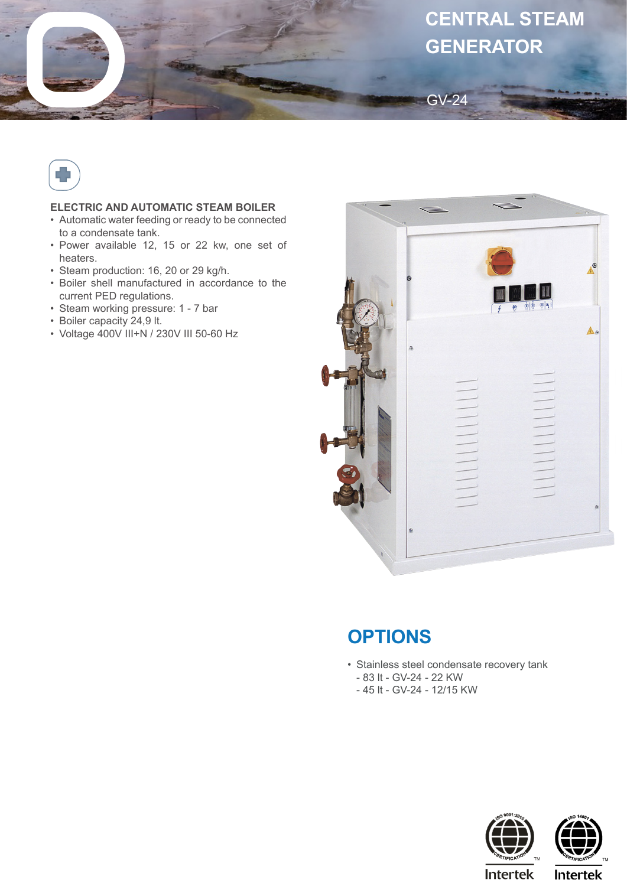



## **ELECTRIC AND AUTOMATIC STEAM BOILER**

- Automatic water feeding or ready to be connected to a condensate tank.
- Power available 12, 15 or 22 kw, one set of heaters.
- Steam production: 16, 20 or 29 kg/h.
- Boiler shell manufactured in accordance to the current PED regulations.
- Steam working pressure: 1 7 bar
- Boiler capacity 24,9 lt.
- Voltage 400V III+N / 230V III 50-60 Hz



## **OPTIONS**

- Stainless steel condensate recovery tank
	- 83 lt GV-24 22 KW
	- 45 lt GV-24 12/15 KW